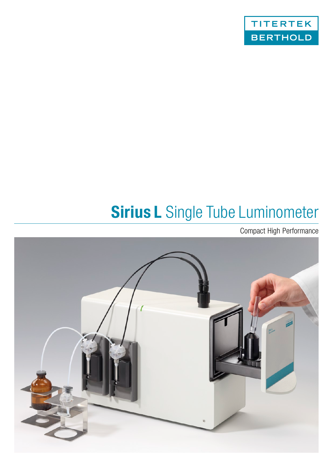

# **Sirius L** Single Tube Luminometer

Compact High Performance

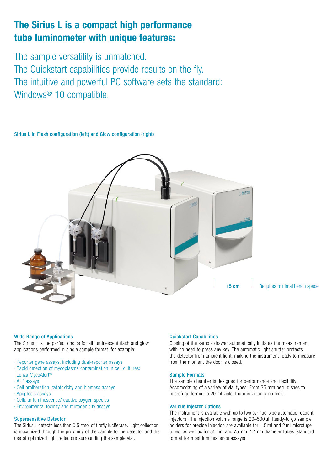## **The Sirius L is a compact high performance tube luminometer with unique features:**

The sample versatility is unmatched. The Quickstart capabilities provide results on the fly. The intuitive and powerful PC software sets the standard: Windows® 10 compatible.

Sirius L in Flash configuration (left) and Glow configuration (right)



**15 cm** Requires minimal bench space

### Wide Range of Applications

The Sirius L is the perfect choice for all luminescent flash and glow applications performed in single sample format, for example:

- · Reporter gene assays, including dual-reporter assays
- · Rapid detection of mycoplasma contamination in cell cultures: Lonza MycoAlert®
- 
- · ATP assays
- · Cell proliferation, cytotoxicity and biomass assays
- · Apoptosis assays
- · Cellular luminescence/reactive oxygen species
- · Environmental toxicity and mutagenicity assays

### Supersensitive Detector

The Sirius L detects less than 0.5 zmol of firefly luciferase. Light collection is maximized through the proximity of the sample to the detector and the use of optimized light reflectors surrounding the sample vial.

### Quickstart Capabilities

Closing of the sample drawer automatically initiates the measurement with no need to press any key. The automatic light shutter protects the detector from ambient light, making the instrument ready to measure from the moment the door is closed.

### Sample Formats

The sample chamber is designed for performance and flexibility. Accomodating of a variety of vial types: From 35 mm petri dishes to microfuge format to 20 ml vials, there is virtually no limit.

### Various Injector Options

The instrument is available with up to two syringe-type automatic reagent injectors. The injection volume range is 20–500 µl. Ready-to go sample holders for precise injection are available for 1.5ml and 2ml microfuge tubes, as well as for 55mm and 75mm, 12mm diameter tubes (standard format for most luminescence assays).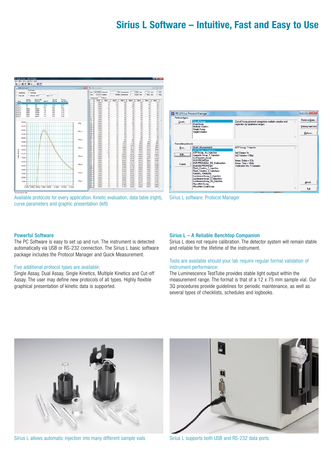### **Sirius L Software – Intuitive, Fast and Easy to Use**



Available protocols for every application. Kinetic evaluation, data table (right), curve parameters and graphic presentation (left)



Sirius L software: Protocol Manager

### Powerful Software

The PC Software is easy to set up and run. The instrument is detected automatically via USB or RS-232 connection. The Sirius L basic software package includes the Protocol Manager and Quick Measurement.

#### Five additional protocol types are available:

Single Assay, Dual Assay, Single Kinetics, Multiple Kinetics and Cut-off Assay. The user may define new protocols of all types. Highly flexible graphical presentation of kinetic data is supported.

### Sirius L – A Reliable Benchtop Companion

Sirius L does not require calibration. The detector system will remain stable and reliable for the lifetime of the instrument.

### Tools are available should your lab require regular formal validation of instrument performance:

The Luminescence TestTube provides stable light output within the measurement range. The format is that of a 12 x 75 mm sample vial. Our 3Q procedures provide guidelines for periodic maintenance, as well as several types of checklists, schedules and logbooks.



Sirius L allows automatic injection into many different sample vials



Sirius L supports both USB and RS-232 data ports